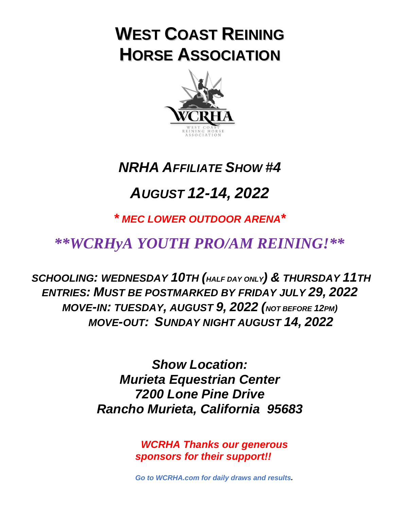# **WEST COAST REINING HORSE ASSOCIATION**



## *NRHA AFFILIATE SHOW #4*

# *AUGUST 12-14, 2022*

*\* MEC LOWER OUTDOOR ARENA\**

## *\*\*WCRHyA YOUTH PRO/AM REINING!\*\**

*SCHOOLING: WEDNESDAY 10TH (HALF DAY ONLY) & THURSDAY 11TH ENTRIES: MUST BE POSTMARKED BY FRIDAY JULY 29, 2022 MOVE-IN: TUESDAY, AUGUST 9, 2022 (NOT BEFORE 12PM) MOVE-OUT: SUNDAY NIGHT AUGUST 14, 2022*

> *Show Location: Murieta Equestrian Center 7200 Lone Pine Drive Rancho Murieta, California 95683*

> > *WCRHA Thanks our generous sponsors for their support!!*

*Go to WCRHA.com for daily draws and results.*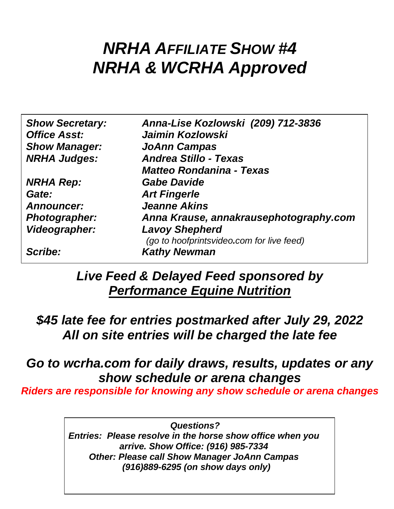# *NRHA AFFILIATE SHOW #4 NRHA & WCRHA Approved*

| <b>Show Secretary:</b> | Anna-Lise Kozlowski (209) 712-3836        |
|------------------------|-------------------------------------------|
| <b>Office Asst:</b>    | <b>Jaimin Kozlowski</b>                   |
| <b>Show Manager:</b>   | <b>JoAnn Campas</b>                       |
| <b>NRHA Judges:</b>    | <b>Andrea Stillo - Texas</b>              |
|                        | <b>Matteo Rondanina - Texas</b>           |
| <b>NRHA Rep:</b>       | <b>Gabe Davide</b>                        |
| Gate:                  | <b>Art Fingerle</b>                       |
| <b>Announcer:</b>      | <b>Jeanne Akins</b>                       |
| <b>Photographer:</b>   | Anna Krause, annakrausephotography.com    |
| Videographer:          | <b>Lavoy Shepherd</b>                     |
|                        | (go to hoofprintsvideo.com for live feed) |
| Scribe:                | <b>Kathy Newman</b>                       |
|                        |                                           |

*Live Feed & Delayed Feed sponsored by Performance Equine Nutrition*

*\$45 late fee for entries postmarked after July 29, 2022 All on site entries will be charged the late fee*

## *Go to wcrha.com for daily draws, results, updates or any show schedule or arena changes*

*Riders are responsible for knowing any show schedule or arena changes*

*Questions? Entries: Please resolve in the horse show office when you arrive. Show Office: (916) 985-7334 Other: Please call Show Manager JoAnn Campas (916)889-6295 (on show days only)*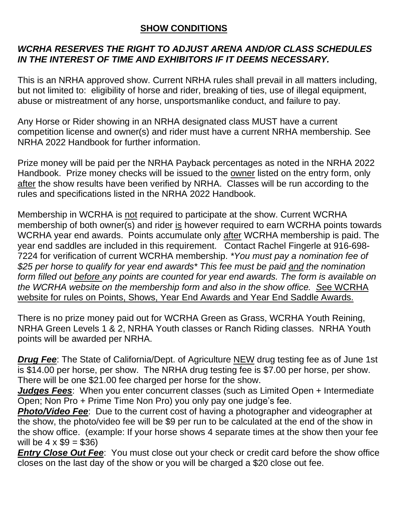### **SHOW CONDITIONS**

### *WCRHA RESERVES THE RIGHT TO ADJUST ARENA AND/OR CLASS SCHEDULES IN THE INTEREST OF TIME AND EXHIBITORS IF IT DEEMS NECESSARY.*

This is an NRHA approved show. Current NRHA rules shall prevail in all matters including, but not limited to: eligibility of horse and rider, breaking of ties, use of illegal equipment, abuse or mistreatment of any horse, unsportsmanlike conduct, and failure to pay.

Any Horse or Rider showing in an NRHA designated class MUST have a current competition license and owner(s) and rider must have a current NRHA membership. See NRHA 2022 Handbook for further information.

Prize money will be paid per the NRHA Payback percentages as noted in the NRHA 2022 Handbook. Prize money checks will be issued to the owner listed on the entry form, only after the show results have been verified by NRHA. Classes will be run according to the rules and specifications listed in the NRHA 2022 Handbook.

Membership in WCRHA is not required to participate at the show. Current WCRHA membership of both owner(s) and rider is however required to earn WCRHA points towards WCRHA year end awards. Points accumulate only after WCRHA membership is paid. The year end saddles are included in this requirement. Contact Rachel Fingerle at 916-698- 7224 for verification of current WCRHA membership. *\*You must pay a nomination fee of \$25 per horse to qualify for year end awards\* This fee must be paid and the nomination form filled out before any points are counted for year end awards. The form is available on the WCRHA website on the membership form and also in the show office. S*ee WCRHA website for rules on Points, Shows, Year End Awards and Year End Saddle Awards.

There is no prize money paid out for WCRHA Green as Grass, WCRHA Youth Reining, NRHA Green Levels 1 & 2, NRHA Youth classes or Ranch Riding classes. NRHA Youth points will be awarded per NRHA.

**Drug Fee**: The State of California/Dept. of Agriculture NEW drug testing fee as of June 1st is \$14.00 per horse, per show. The NRHA drug testing fee is \$7.00 per horse, per show. There will be one \$21.00 fee charged per horse for the show.

*Judges Fees*: When you enter concurrent classes (such as Limited Open + Intermediate Open; Non Pro + Prime Time Non Pro) you only pay one judge's fee.

**Photo/Video Fee**: Due to the current cost of having a photographer and videographer at the show, the photo/video fee will be \$9 per run to be calculated at the end of the show in the show office. (example: If your horse shows 4 separate times at the show then your fee will be  $4 \times $9 = $36$ )

*Entry Close Out Fee:* You must close out your check or credit card before the show office closes on the last day of the show or you will be charged a \$20 close out fee.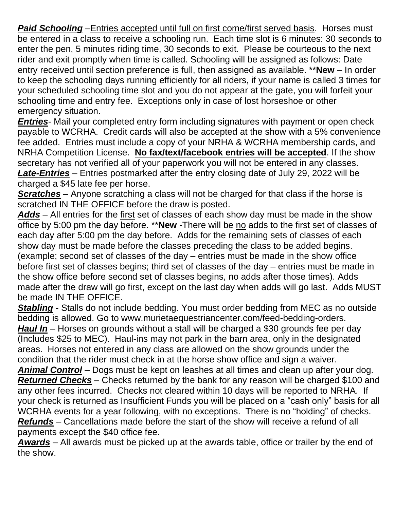**Paid Schooling** –Entries accepted until full on first come/first served basis. Horses must be entered in a class to receive a schooling run. Each time slot is 6 minutes: 30 seconds to enter the pen, 5 minutes riding time, 30 seconds to exit. Please be courteous to the next rider and exit promptly when time is called. Schooling will be assigned as follows: Date entry received until section preference is full, then assigned as available. \*\***New** – In order to keep the schooling days running efficiently for all riders, if your name is called 3 times for your scheduled schooling time slot and you do not appear at the gate, you will forfeit your schooling time and entry fee. Exceptions only in case of lost horseshoe or other emergency situation.

*Entries*- Mail your completed entry form including signatures with payment or open check payable to WCRHA. Credit cards will also be accepted at the show with a 5% convenience fee added. Entries must include a copy of your NRHA & WCRHA membership cards, and NRHA Competition License. **No fax/text/facebook entries will be accepted**. If the show secretary has not verified all of your paperwork you will not be entered in any classes. *Late-Entries* – Entries postmarked after the entry closing date of July 29, 2022 will be charged a \$45 late fee per horse.

*Scratches* – Anyone scratching a class will not be charged for that class if the horse is scratched IN THE OFFICE before the draw is posted.

*Adds* – All entries for the first set of classes of each show day must be made in the show office by 5:00 pm the day before. \*\***New** -There will be no adds to the first set of classes of each day after 5:00 pm the day before. Adds for the remaining sets of classes of each show day must be made before the classes preceding the class to be added begins. (example; second set of classes of the day – entries must be made in the show office before first set of classes begins; third set of classes of the day – entries must be made in the show office before second set of classes begins, no adds after those times). Adds made after the draw will go first, except on the last day when adds will go last. Adds MUST be made IN THE OFFICE.

*Stabling* **-** Stalls do not include bedding. You must order bedding from MEC as no outside bedding is allowed. Go to www.murietaequestriancenter.com/feed-bedding-orders. *Haul In* – Horses on grounds without a stall will be charged a \$30 grounds fee per day (Includes \$25 to MEC). Haul-ins may not park in the barn area, only in the designated areas. Horses not entered in any class are allowed on the show grounds under the condition that the rider must check in at the horse show office and sign a waiver.

*Animal Control* – Dogs must be kept on leashes at all times and clean up after your dog. *Returned Checks* – Checks returned by the bank for any reason will be charged \$100 and any other fees incurred. Checks not cleared within 10 days will be reported to NRHA. If your check is returned as Insufficient Funds you will be placed on a "cash only" basis for all WCRHA events for a year following, with no exceptions. There is no "holding" of checks. *Refunds* – Cancellations made before the start of the show will receive a refund of all payments except the \$40 office fee.

*Awards* – All awards must be picked up at the awards table, office or trailer by the end of the show.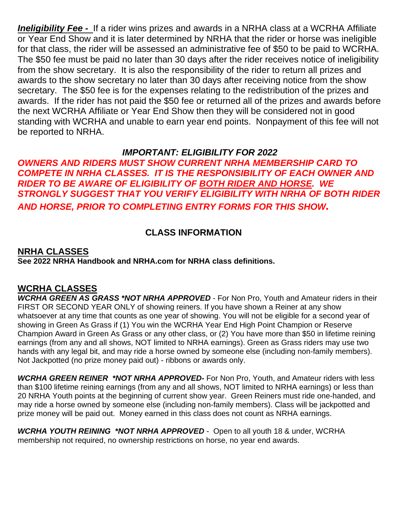*Ineligibility Fee -* If a rider wins prizes and awards in a NRHA class at a WCRHA Affiliate or Year End Show and it is later determined by NRHA that the rider or horse was ineligible for that class, the rider will be assessed an administrative fee of \$50 to be paid to WCRHA. The \$50 fee must be paid no later than 30 days after the rider receives notice of ineligibility from the show secretary. It is also the responsibility of the rider to return all prizes and awards to the show secretary no later than 30 days after receiving notice from the show secretary. The \$50 fee is for the expenses relating to the redistribution of the prizes and awards. If the rider has not paid the \$50 fee or returned all of the prizes and awards before the next WCRHA Affiliate or Year End Show then they will be considered not in good standing with WCRHA and unable to earn year end points. Nonpayment of this fee will not be reported to NRHA.

#### *IMPORTANT: ELIGIBILITY FOR 2022*

*OWNERS AND RIDERS MUST SHOW CURRENT NRHA MEMBERSHIP CARD TO COMPETE IN NRHA CLASSES. IT IS THE RESPONSIBILITY OF EACH OWNER AND RIDER TO BE AWARE OF ELIGIBILITY OF BOTH RIDER AND HORSE. WE STRONGLY SUGGEST THAT YOU VERIFY ELIGIBILITY WITH NRHA OF BOTH RIDER AND HORSE, PRIOR TO COMPLETING ENTRY FORMS FOR THIS SHOW.*

### **CLASS INFORMATION**

#### **NRHA CLASSES See 2022 NRHA Handbook and NRHA.com for NRHA class definitions.**

#### **WCRHA CLASSES**

*WCRHA GREEN AS GRASS \*NOT NRHA APPROVED* - For Non Pro, Youth and Amateur riders in their FIRST OR SECOND YEAR ONLY of showing reiners. If you have shown a Reiner at any show whatsoever at any time that counts as one year of showing. You will not be eligible for a second year of showing in Green As Grass if (1) You win the WCRHA Year End High Point Champion or Reserve Champion Award in Green As Grass or any other class, or (2) You have more than \$50 in lifetime reining earnings (from any and all shows, NOT limited to NRHA earnings). Green as Grass riders may use two hands with any legal bit, and may ride a horse owned by someone else (including non-family members). Not Jackpotted (no prize money paid out) - ribbons or awards only.

*WCRHA GREEN REINER \*NOT NRHA APPROVED-* For Non Pro, Youth, and Amateur riders with less than \$100 lifetime reining earnings (from any and all shows, NOT limited to NRHA earnings) or less than 20 NRHA Youth points at the beginning of current show year. Green Reiners must ride one-handed, and may ride a horse owned by someone else (including non-family members). Class will be jackpotted and prize money will be paid out. Money earned in this class does not count as NRHA earnings.

*WCRHA YOUTH REINING \*NOT NRHA APPROVED* - Open to all youth 18 & under, WCRHA membership not required, no ownership restrictions on horse, no year end awards.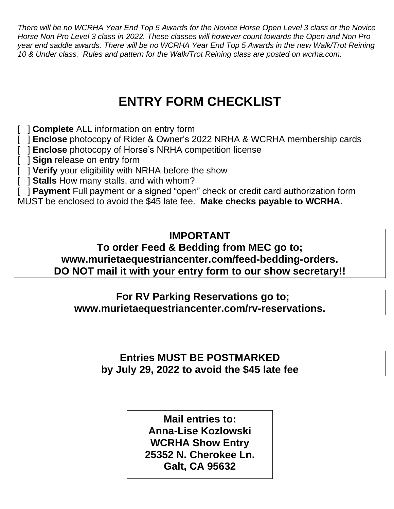*There will be no WCRHA Year End Top 5 Awards for the Novice Horse Open Level 3 class or the Novice Horse Non Pro Level 3 class in 2022. These classes will however count towards the Open and Non Pro year end saddle awards. There will be no WCRHA Year End Top 5 Awards in the new Walk/Trot Reining 10 & Under class. Rules and pattern for the Walk/Trot Reining class are posted on wcrha.com.*

## **ENTRY FORM CHECKLIST**

- [ ] **Complete** ALL information on entry form
- [ ] **Enclose** photocopy of Rider & Owner's 2022 NRHA & WCRHA membership cards
- [ ] **Enclose** photocopy of Horse's NRHA competition license
- [ **] Sign** release on entry form
- [ ] **Verify** your eligibility with NRHA before the show
- [ ] **Stalls** How many stalls, and with whom?
- [ ] **Payment** Full payment or a signed "open" check or credit card authorization form

MUST be enclosed to avoid the \$45 late fee. **Make checks payable to WCRHA**.

## **IMPORTANT**

### **To order Feed & Bedding from MEC go to; www.murietaequestriancenter.com/feed-bedding-orders. DO NOT mail it with your entry form to our show secretary!!**

**For RV Parking Reservations go to;**

**www.murietaequestriancenter.com/rv-reservations.**

**Entries MUST BE POSTMARKED by July 29, 2022 to avoid the \$45 late fee**

> **Mail entries to: Anna-Lise Kozlowski WCRHA Show Entry 25352 N. Cherokee Ln. Galt, CA 95632**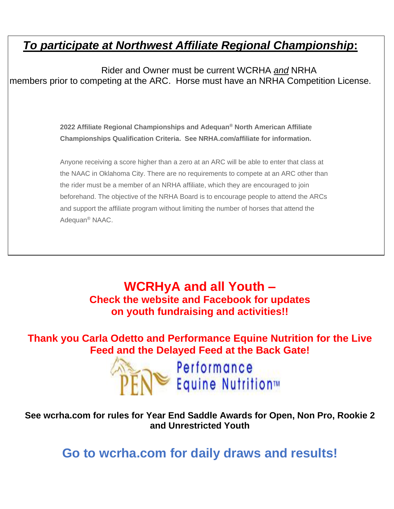## *To participate at Northwest Affiliate Regional Championship***:**

Rider and Owner must be current WCRHA *and* NRHA members prior to competing at the ARC. Horse must have an NRHA Competition License.

> **2022 Affiliate Regional Championships and Adequan® North American Affiliate Championships Qualification Criteria. See NRHA.com/affiliate for information.**

Anyone receiving a score higher than a zero at an ARC will be able to enter that class at the NAAC in Oklahoma City. There are no requirements to compete at an ARC other than the rider must be a member of an NRHA affiliate, which they are encouraged to join beforehand. The objective of the NRHA Board is to encourage people to attend the ARCs and support the affiliate program without limiting the number of horses that attend the Adequan ® NAAC.

> **WCRHyA and all Youth – Check the website and Facebook for updates on youth fundraising and activities!!**

**Thank you Carla Odetto and Performance Equine Nutrition for the Live Feed and the Delayed Feed at the Back Gate!**



**See wcrha.com for rules for Year End Saddle Awards for Open, Non Pro, Rookie 2 and Unrestricted Youth**

**Go to wcrha.com for daily draws and results!**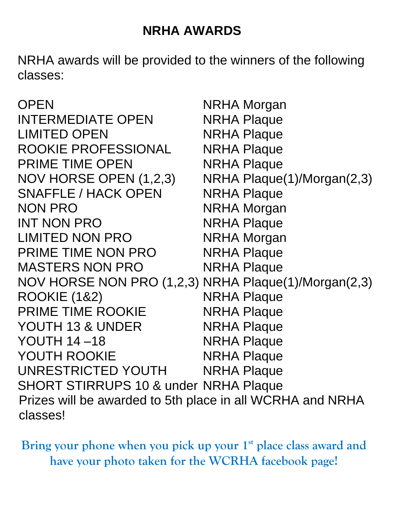## **NRHA AWARDS**

NRHA awards will be provided to the winners of the following classes:

| <b>OPEN</b>                                               | <b>NRHA Morgan</b>         |  |
|-----------------------------------------------------------|----------------------------|--|
| <b>INTERMEDIATE OPEN</b>                                  | <b>NRHA Plaque</b>         |  |
| <b>LIMITED OPEN</b>                                       | <b>NRHA Plaque</b>         |  |
| ROOKIE PROFESSIONAL                                       | <b>NRHA Plaque</b>         |  |
| <b>PRIME TIME OPEN</b>                                    | <b>NRHA Plaque</b>         |  |
| NOV HORSE OPEN (1,2,3)                                    | NRHA Plaque(1)/Morgan(2,3) |  |
| <b>SNAFFLE / HACK OPEN</b>                                | <b>NRHA Plaque</b>         |  |
| <b>NON PRO</b>                                            | <b>NRHA Morgan</b>         |  |
| <b>INT NON PRO</b>                                        | <b>NRHA Plaque</b>         |  |
| <b>LIMITED NON PRO</b>                                    | <b>NRHA Morgan</b>         |  |
| PRIME TIME NON PRO                                        | <b>NRHA Plaque</b>         |  |
| <b>MASTERS NON PRO</b>                                    | <b>NRHA Plaque</b>         |  |
| NOV HORSE NON PRO (1,2,3) NRHA Plaque(1)/Morgan(2,3)      |                            |  |
| <b>ROOKIE (1&amp;2)</b>                                   | <b>NRHA Plaque</b>         |  |
| <b>PRIME TIME ROOKIE</b>                                  | <b>NRHA Plaque</b>         |  |
| YOUTH 13 & UNDER                                          | <b>NRHA Plaque</b>         |  |
| <b>YOUTH 14-18</b>                                        | <b>NRHA Plaque</b>         |  |
| <b>YOUTH ROOKIE</b>                                       | <b>NRHA Plaque</b>         |  |
| UNRESTRICTED YOUTH                                        | <b>NRHA Plaque</b>         |  |
| <b>SHORT STIRRUPS 10 &amp; under NRHA Plaque</b>          |                            |  |
| Prizes will be awarded to 5th place in all WCRHA and NRHA |                            |  |
| classes!                                                  |                            |  |

Bring your phone when you pick up your 1<sup>st</sup> place class award and **have your photo taken for the WCRHA facebook page!**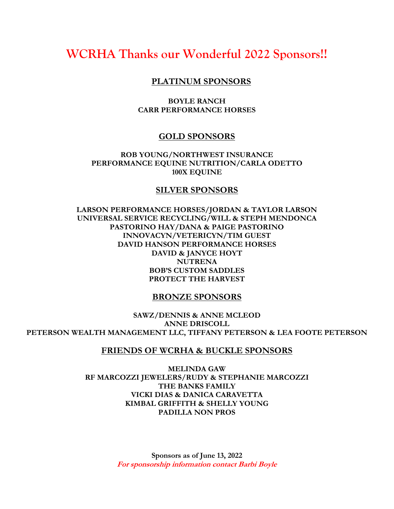### **WCRHA Thanks our Wonderful 2022 Sponsors!!**

#### **PLATINUM SPONSORS**

#### **BOYLE RANCH CARR PERFORMANCE HORSES**

#### **GOLD SPONSORS**

**ROB YOUNG/NORTHWEST INSURANCE PERFORMANCE EQUINE NUTRITION/CARLA ODETTO 100X EQUINE**

#### **SILVER SPONSORS**

**LARSON PERFORMANCE HORSES/JORDAN & TAYLOR LARSON UNIVERSAL SERVICE RECYCLING/WILL & STEPH MENDONCA PASTORINO HAY/DANA & PAIGE PASTORINO INNOVACYN/VETERICYN/TIM GUEST DAVID HANSON PERFORMANCE HORSES DAVID & JANYCE HOYT NUTRENA BOB'S CUSTOM SADDLES PROTECT THE HARVEST**

#### **BRONZE SPONSORS**

**SAWZ/DENNIS & ANNE MCLEOD ANNE DRISCOLL PETERSON WEALTH MANAGEMENT LLC, TIFFANY PETERSON & LEA FOOTE PETERSON**

#### **FRIENDS OF WCRHA & BUCKLE SPONSORS**

**MELINDA GAW RF MARCOZZI JEWELERS/RUDY & STEPHANIE MARCOZZI THE BANKS FAMILY VICKI DIAS & DANICA CARAVETTA KIMBAL GRIFFITH & SHELLY YOUNG PADILLA NON PROS**

> **Sponsors as of June 13, 2022 For sponsorship information contact Barbi Boyle**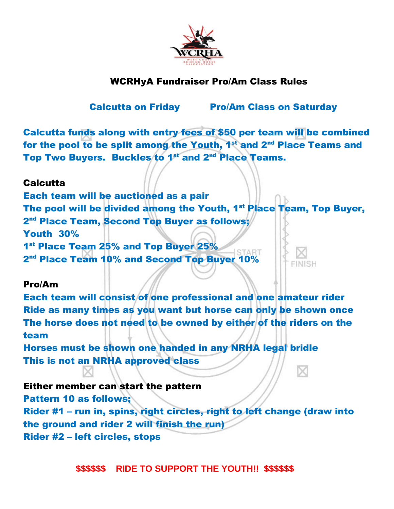

### WCRHyA Fundraiser Pro/Am Class Rules

Calcutta on Friday Pro/Am Class on Saturday

×

Calcutta funds along with entry fees of \$50 per team will be combined for the pool to be split among the Youth, 1<sup>st</sup> and 2<sup>nd</sup> Place Teams and Top Two Buyers. Buckles to 1<sup>st</sup> and 2<sup>nd</sup> Place Teams.

#### **Calcutta**

Each team will be auctioned as a pair The pool will be divided among the Youth, 1<sup>st</sup> Place Team, Top Buyer, 2<sup>nd</sup> Place Team, Second Top Buyer as follows; Youth 30% 1<sup>st</sup> Place Team 25% and Top Buyer 25% 2<sup>nd</sup> Place Team 10% and Second Top Buyer 10%

#### Pro/Am

Each team will consist of one professional and one amateur rider Ride as many times as you want but horse can only be shown once The horse does not need to be owned by either of the riders on the team

Horses must be shown one handed in any NRHA legal bridle This is not an NRHA approved class

### Either member can start the pattern

Pattern 10 as follows; Rider #1 – run in, spins, right circles, right to left change (draw into the ground and rider 2 will finish the run) Rider #2 – left circles, stops

 **\$\$\$\$\$\$ RIDE TO SUPPORT THE YOUTH!! \$\$\$\$\$\$**